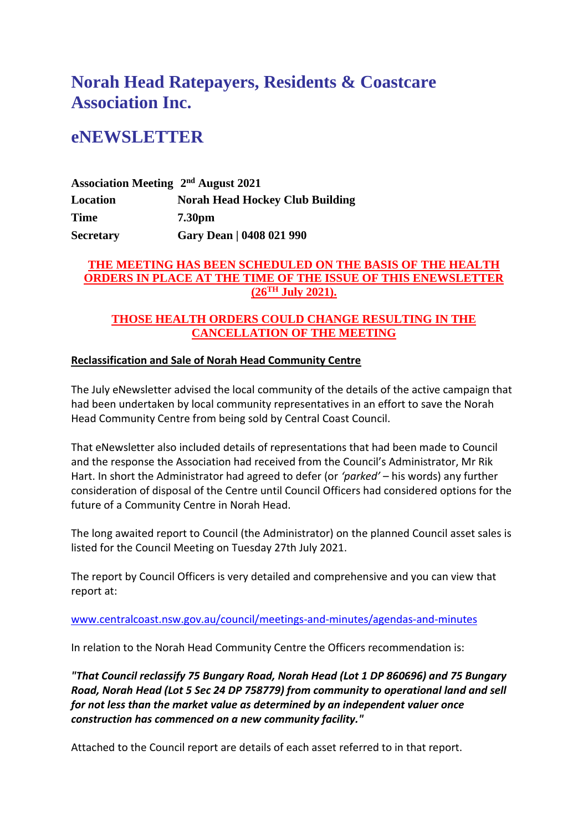# **Norah Head Ratepayers, Residents & Coastcare Association Inc.**

## **eNEWSLETTER**

**Association Meeting 2 nd August 2021 Location Norah Head Hockey Club Building Time 7.30pm Secretary Gary Dean | 0408 021 990**

## **THE MEETING HAS BEEN SCHEDULED ON THE BASIS OF THE HEALTH ORDERS IN PLACE AT THE TIME OF THE ISSUE OF THIS ENEWSLETTER (26TH July 2021).**

## **THOSE HEALTH ORDERS COULD CHANGE RESULTING IN THE CANCELLATION OF THE MEETING**

## **Reclassification and Sale of Norah Head Community Centre**

The July eNewsletter advised the local community of the details of the active campaign that had been undertaken by local community representatives in an effort to save the Norah Head Community Centre from being sold by Central Coast Council.

That eNewsletter also included details of representations that had been made to Council and the response the Association had received from the Council's Administrator, Mr Rik Hart. In short the Administrator had agreed to defer (or *'parked'* – his words) any further consideration of disposal of the Centre until Council Officers had considered options for the future of a Community Centre in Norah Head.

The long awaited report to Council (the Administrator) on the planned Council asset sales is listed for the Council Meeting on Tuesday 27th July 2021.

The report by Council Officers is very detailed and comprehensive and you can view that report at:

## [www.centralcoast.nsw.gov.au/council/meetings-and-minutes/agendas-and-minutes](http://www.centralcoast.nsw.gov.au/council/meetings-and-minutes/agendas-and-minutes)

In relation to the Norah Head Community Centre the Officers recommendation is:

*"That Council reclassify 75 Bungary Road, Norah Head (Lot 1 DP 860696) and 75 Bungary Road, Norah Head (Lot 5 Sec 24 DP 758779) from community to operational land and sell for not less than the market value as determined by an independent valuer once construction has commenced on a new community facility."*

Attached to the Council report are details of each asset referred to in that report.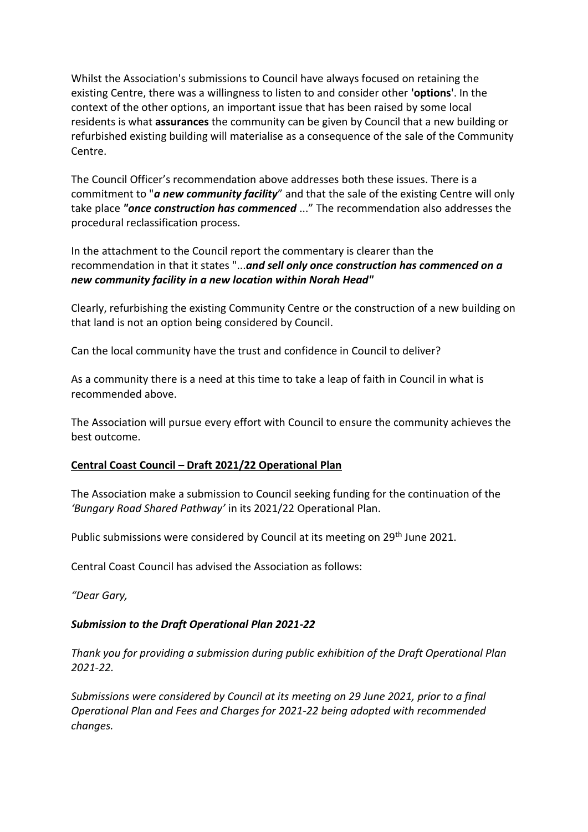Whilst the Association's submissions to Council have always focused on retaining the existing Centre, there was a willingness to listen to and consider other **'options**'. In the context of the other options, an important issue that has been raised by some local residents is what **assurances** the community can be given by Council that a new building or refurbished existing building will materialise as a consequence of the sale of the Community Centre.

The Council Officer's recommendation above addresses both these issues. There is a commitment to "*a new community facility*" and that the sale of the existing Centre will only take place *"once construction has commenced* ..." The recommendation also addresses the procedural reclassification process.

In the attachment to the Council report the commentary is clearer than the recommendation in that it states "...*and sell only once construction has commenced on a new community facility in a new location within Norah Head"*

Clearly, refurbishing the existing Community Centre or the construction of a new building on that land is not an option being considered by Council.

Can the local community have the trust and confidence in Council to deliver?

As a community there is a need at this time to take a leap of faith in Council in what is recommended above.

The Association will pursue every effort with Council to ensure the community achieves the best outcome.

## **Central Coast Council – Draft 2021/22 Operational Plan**

The Association make a submission to Council seeking funding for the continuation of the *'Bungary Road Shared Pathway'* in its 2021/22 Operational Plan.

Public submissions were considered by Council at its meeting on 29th June 2021.

Central Coast Council has advised the Association as follows:

*"Dear Gary,*

## *Submission to the Draft Operational Plan 2021-22*

*Thank you for providing a submission during public exhibition of the Draft Operational Plan 2021-22.*

*Submissions were considered by Council at its meeting on 29 June 2021, prior to a final Operational Plan and Fees and Charges for 2021-22 being adopted with recommended changes.*